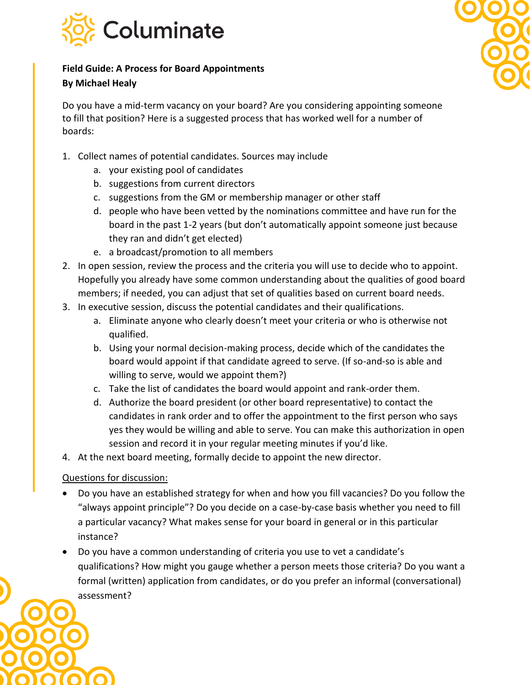

## **Field Guide: A Process for Board Appointments**

## **By Michael Healy**

Do you have a mid-term vacancy on your board? Are you considering appointing someone to fill that position? Here is a suggested process that has worked well for a number of boards:

- 1. Collect names of potential candidates. Sources may include
	- a. your existing pool of candidates
	- b. suggestions from current directors
	- c. suggestions from the GM or membership manager or other staff
	- d. people who have been vetted by the nominations committee and have run for the board in the past 1-2 years (but don't automatically appoint someone just because they ran and didn't get elected)
	- e. a broadcast/promotion to all members
- 2. In open session, review the process and the criteria you will use to decide who to appoint. Hopefully you already have some common understanding about the qualities of good board members; if needed, you can adjust that set of qualities based on current board needs.
- 3. In executive session, discuss the potential candidates and their qualifications.
	- a. Eliminate anyone who clearly doesn't meet your criteria or who is otherwise not qualified.
	- b. Using your normal decision-making process, decide which of the candidates the board would appoint if that candidate agreed to serve. (If so-and-so is able and willing to serve, would we appoint them?)
	- c. Take the list of candidates the board would appoint and rank-order them.
	- d. Authorize the board president (or other board representative) to contact the candidates in rank order and to offer the appointment to the first person who says yes they would be willing and able to serve. You can make this authorization in open session and record it in your regular meeting minutes if you'd like.
- 4. At the next board meeting, formally decide to appoint the new director.

## Questions for discussion:

- Do you have an established strategy for when and how you fill vacancies? Do you follow the "always appoint principle"? Do you decide on a case-by-case basis whether you need to fill a particular vacancy? What makes sense for your board in general or in this particular instance?
- Do you have a common understanding of criteria you use to vet a candidate's qualifications? How might you gauge whether a person meets those criteria? Do you want a formal (written) application from candidates, or do you prefer an informal (conversational) assessment?